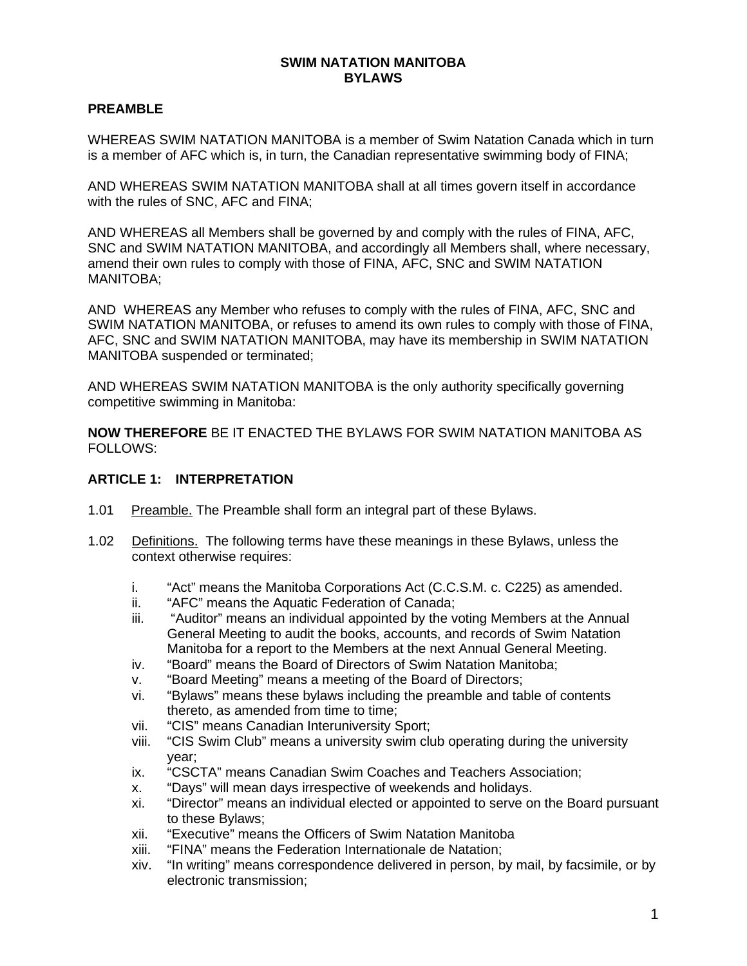#### **SWIM NATATION MANITOBA BYLAWS**

# **PREAMBLE**

WHEREAS SWIM NATATION MANITOBA is a member of Swim Natation Canada which in turn is a member of AFC which is, in turn, the Canadian representative swimming body of FINA;

AND WHEREAS SWIM NATATION MANITOBA shall at all times govern itself in accordance with the rules of SNC, AFC and FINA;

AND WHEREAS all Members shall be governed by and comply with the rules of FINA, AFC, SNC and SWIM NATATION MANITOBA, and accordingly all Members shall, where necessary, amend their own rules to comply with those of FINA, AFC, SNC and SWIM NATATION MANITOBA;

AND WHEREAS any Member who refuses to comply with the rules of FINA, AFC, SNC and SWIM NATATION MANITOBA, or refuses to amend its own rules to comply with those of FINA, AFC, SNC and SWIM NATATION MANITOBA, may have its membership in SWIM NATATION MANITOBA suspended or terminated;

AND WHEREAS SWIM NATATION MANITOBA is the only authority specifically governing competitive swimming in Manitoba:

**NOW THEREFORE** BE IT ENACTED THE BYLAWS FOR SWIM NATATION MANITOBA AS FOLLOWS:

#### **ARTICLE 1: INTERPRETATION**

- 1.01 Preamble. The Preamble shall form an integral part of these Bylaws.
- 1.02 Definitions. The following terms have these meanings in these Bylaws, unless the context otherwise requires:
	- i. "Act" means the Manitoba Corporations Act (C.C.S.M. c. C225) as amended.
	- ii. "AFC" means the Aquatic Federation of Canada;
	- iii. "Auditor" means an individual appointed by the voting Members at the Annual General Meeting to audit the books, accounts, and records of Swim Natation Manitoba for a report to the Members at the next Annual General Meeting.
	- iv. "Board" means the Board of Directors of Swim Natation Manitoba;
	- v. "Board Meeting" means a meeting of the Board of Directors;
	- vi. "Bylaws" means these bylaws including the preamble and table of contents thereto, as amended from time to time;
	- vii. "CIS" means Canadian Interuniversity Sport;
	- viii. "CIS Swim Club" means a university swim club operating during the university year;
	- ix. "CSCTA" means Canadian Swim Coaches and Teachers Association;
	- x. "Days" will mean days irrespective of weekends and holidays.
	- xi. "Director" means an individual elected or appointed to serve on the Board pursuant to these Bylaws;
	- xii. "Executive" means the Officers of Swim Natation Manitoba
	- xiii. "FINA" means the Federation Internationale de Natation;
	- xiv. "In writing" means correspondence delivered in person, by mail, by facsimile, or by electronic transmission;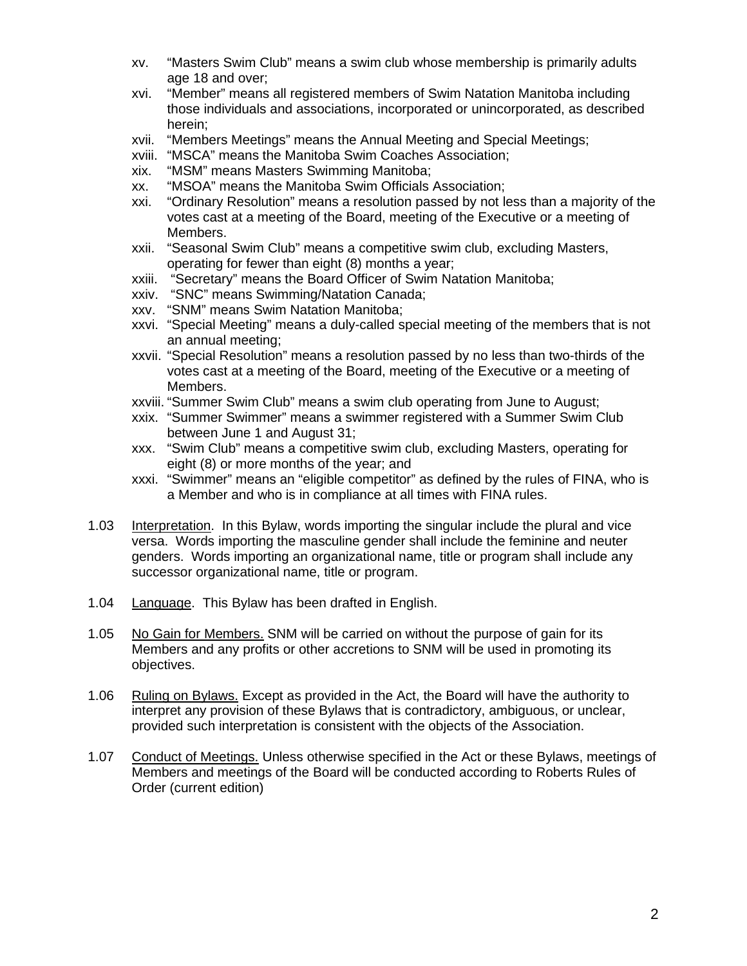- xv. "Masters Swim Club" means a swim club whose membership is primarily adults age 18 and over;
- xvi. "Member" means all registered members of Swim Natation Manitoba including those individuals and associations, incorporated or unincorporated, as described herein;
- xvii. "Members Meetings" means the Annual Meeting and Special Meetings;
- xviii. "MSCA" means the Manitoba Swim Coaches Association;
- xix. "MSM" means Masters Swimming Manitoba;
- xx. "MSOA" means the Manitoba Swim Officials Association;
- xxi. "Ordinary Resolution" means a resolution passed by not less than a majority of the votes cast at a meeting of the Board, meeting of the Executive or a meeting of Members.
- xxii. "Seasonal Swim Club" means a competitive swim club, excluding Masters, operating for fewer than eight (8) months a year;
- xxiii. "Secretary" means the Board Officer of Swim Natation Manitoba;
- xxiv. "SNC" means Swimming/Natation Canada;
- xxv. "SNM" means Swim Natation Manitoba;
- xxvi. "Special Meeting" means a duly-called special meeting of the members that is not an annual meeting;
- xxvii. "Special Resolution" means a resolution passed by no less than two-thirds of the votes cast at a meeting of the Board, meeting of the Executive or a meeting of Members.
- xxviii. "Summer Swim Club" means a swim club operating from June to August;
- xxix. "Summer Swimmer" means a swimmer registered with a Summer Swim Club between June 1 and August 31;
- xxx. "Swim Club" means a competitive swim club, excluding Masters, operating for eight (8) or more months of the year; and
- xxxi. "Swimmer" means an "eligible competitor" as defined by the rules of FINA, who is a Member and who is in compliance at all times with FINA rules.
- 1.03 Interpretation. In this Bylaw, words importing the singular include the plural and vice versa. Words importing the masculine gender shall include the feminine and neuter genders. Words importing an organizational name, title or program shall include any successor organizational name, title or program.
- 1.04 Language. This Bylaw has been drafted in English.
- 1.05 No Gain for Members. SNM will be carried on without the purpose of gain for its Members and any profits or other accretions to SNM will be used in promoting its objectives.
- 1.06 Ruling on Bylaws. Except as provided in the Act, the Board will have the authority to interpret any provision of these Bylaws that is contradictory, ambiguous, or unclear, provided such interpretation is consistent with the objects of the Association.
- 1.07 Conduct of Meetings. Unless otherwise specified in the Act or these Bylaws, meetings of Members and meetings of the Board will be conducted according to Roberts Rules of Order (current edition)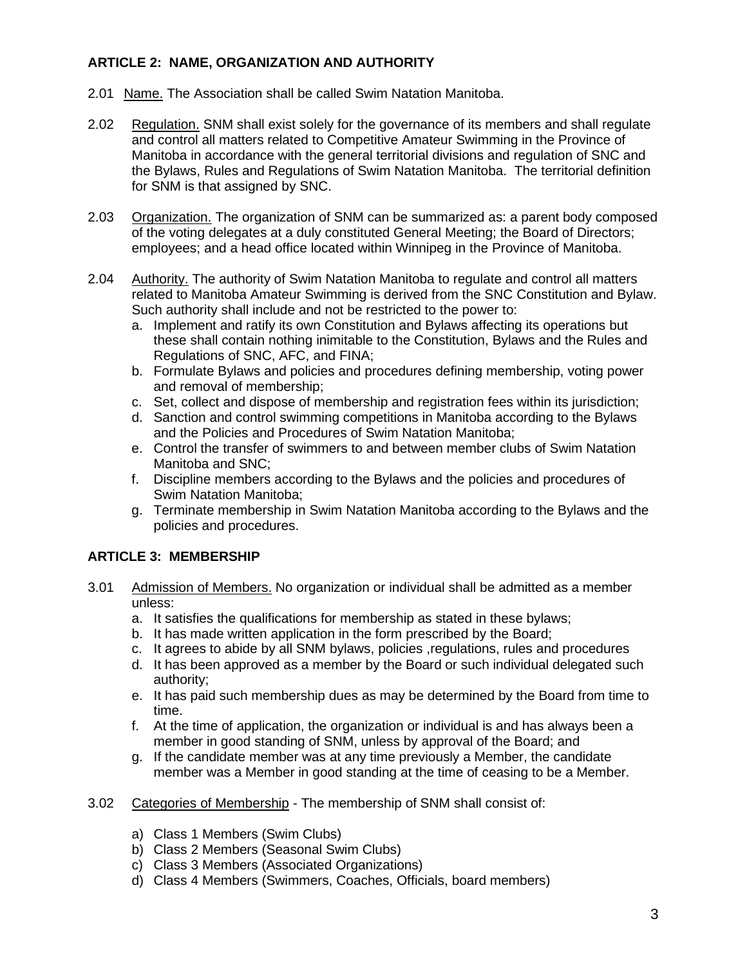# **ARTICLE 2: NAME, ORGANIZATION AND AUTHORITY**

- 2.01 Name. The Association shall be called Swim Natation Manitoba.
- 2.02 Regulation. SNM shall exist solely for the governance of its members and shall regulate and control all matters related to Competitive Amateur Swimming in the Province of Manitoba in accordance with the general territorial divisions and regulation of SNC and the Bylaws, Rules and Regulations of Swim Natation Manitoba. The territorial definition for SNM is that assigned by SNC.
- 2.03 Organization. The organization of SNM can be summarized as: a parent body composed of the voting delegates at a duly constituted General Meeting; the Board of Directors; employees; and a head office located within Winnipeg in the Province of Manitoba.
- 2.04 Authority. The authority of Swim Natation Manitoba to regulate and control all matters related to Manitoba Amateur Swimming is derived from the SNC Constitution and Bylaw. Such authority shall include and not be restricted to the power to:
	- a. Implement and ratify its own Constitution and Bylaws affecting its operations but these shall contain nothing inimitable to the Constitution, Bylaws and the Rules and Regulations of SNC, AFC, and FINA;
	- b. Formulate Bylaws and policies and procedures defining membership, voting power and removal of membership;
	- c. Set, collect and dispose of membership and registration fees within its jurisdiction;
	- d. Sanction and control swimming competitions in Manitoba according to the Bylaws and the Policies and Procedures of Swim Natation Manitoba;
	- e. Control the transfer of swimmers to and between member clubs of Swim Natation Manitoba and SNC;
	- f. Discipline members according to the Bylaws and the policies and procedures of Swim Natation Manitoba;
	- g. Terminate membership in Swim Natation Manitoba according to the Bylaws and the policies and procedures.

## **ARTICLE 3: MEMBERSHIP**

- 3.01 Admission of Members. No organization or individual shall be admitted as a member unless:
	- a. It satisfies the qualifications for membership as stated in these bylaws;
	- b. It has made written application in the form prescribed by the Board;
	- c. It agrees to abide by all SNM bylaws, policies ,regulations, rules and procedures
	- d. It has been approved as a member by the Board or such individual delegated such authority;
	- e. It has paid such membership dues as may be determined by the Board from time to time.
	- f. At the time of application, the organization or individual is and has always been a member in good standing of SNM, unless by approval of the Board; and
	- g. If the candidate member was at any time previously a Member, the candidate member was a Member in good standing at the time of ceasing to be a Member.
- 3.02 Categories of Membership The membership of SNM shall consist of:
	- a) Class 1 Members (Swim Clubs)
	- b) Class 2 Members (Seasonal Swim Clubs)
	- c) Class 3 Members (Associated Organizations)
	- d) Class 4 Members (Swimmers, Coaches, Officials, board members)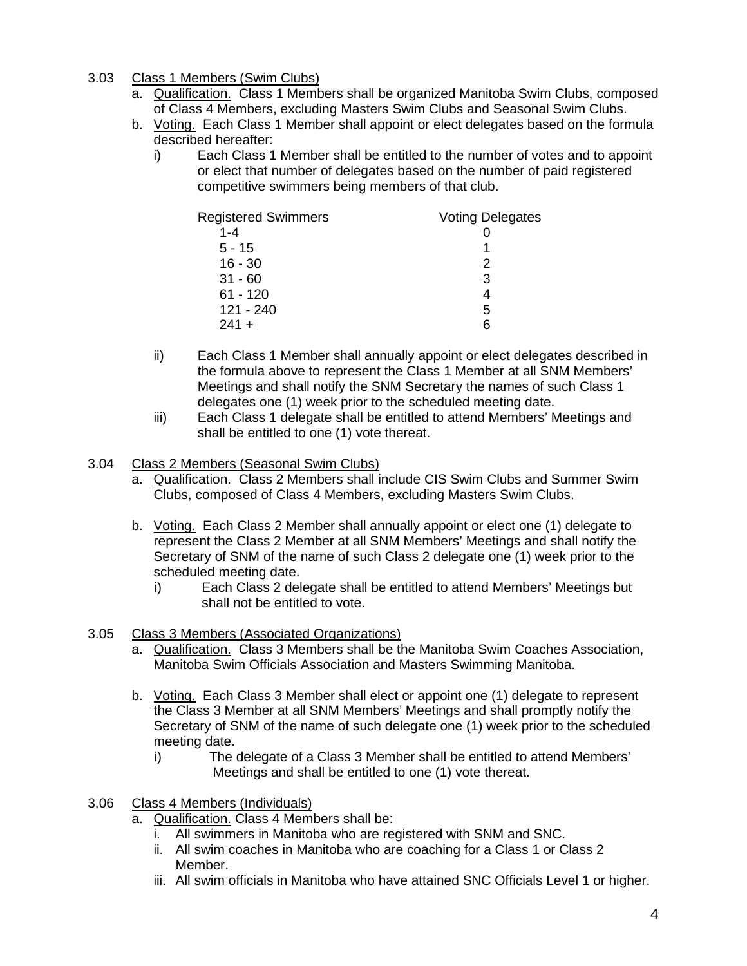- 3.03 Class 1 Members (Swim Clubs)
	- a. **Qualification.** Class 1 Members shall be organized Manitoba Swim Clubs, composed of Class 4 Members, excluding Masters Swim Clubs and Seasonal Swim Clubs.
	- b. Voting. Each Class 1 Member shall appoint or elect delegates based on the formula described hereafter:
		- i) Each Class 1 Member shall be entitled to the number of votes and to appoint or elect that number of delegates based on the number of paid registered competitive swimmers being members of that club.

| <b>Registered Swimmers</b> | <b>Voting Delegates</b> |
|----------------------------|-------------------------|
| $1 - 4$                    |                         |
| $5 - 15$                   |                         |
| $16 - 30$                  |                         |
| $31 - 60$                  | 3                       |
| $61 - 120$                 |                         |
| 121 - 240                  | 5                       |
| $241 +$                    | 6                       |

- ii) Each Class 1 Member shall annually appoint or elect delegates described in the formula above to represent the Class 1 Member at all SNM Members' Meetings and shall notify the SNM Secretary the names of such Class 1 delegates one (1) week prior to the scheduled meeting date.
- iii) Each Class 1 delegate shall be entitled to attend Members' Meetings and shall be entitled to one (1) vote thereat.
- 3.04 Class 2 Members (Seasonal Swim Clubs)
	- a. Qualification. Class 2 Members shall include CIS Swim Clubs and Summer Swim Clubs, composed of Class 4 Members, excluding Masters Swim Clubs.
	- b. Voting. Each Class 2 Member shall annually appoint or elect one (1) delegate to represent the Class 2 Member at all SNM Members' Meetings and shall notify the Secretary of SNM of the name of such Class 2 delegate one (1) week prior to the scheduled meeting date.
		- i) Each Class 2 delegate shall be entitled to attend Members' Meetings but shall not be entitled to vote.
- 3.05 Class 3 Members (Associated Organizations)
	- a. Qualification. Class 3 Members shall be the Manitoba Swim Coaches Association, Manitoba Swim Officials Association and Masters Swimming Manitoba.
	- b. Voting. Each Class 3 Member shall elect or appoint one (1) delegate to represent the Class 3 Member at all SNM Members' Meetings and shall promptly notify the Secretary of SNM of the name of such delegate one (1) week prior to the scheduled meeting date.
		- i) The delegate of a Class 3 Member shall be entitled to attend Members' Meetings and shall be entitled to one (1) vote thereat.
- 3.06 Class 4 Members (Individuals)
	- a. Qualification. Class 4 Members shall be:
		- i. All swimmers in Manitoba who are registered with SNM and SNC.
		- ii. All swim coaches in Manitoba who are coaching for a Class 1 or Class 2 Member.
		- iii. All swim officials in Manitoba who have attained SNC Officials Level 1 or higher.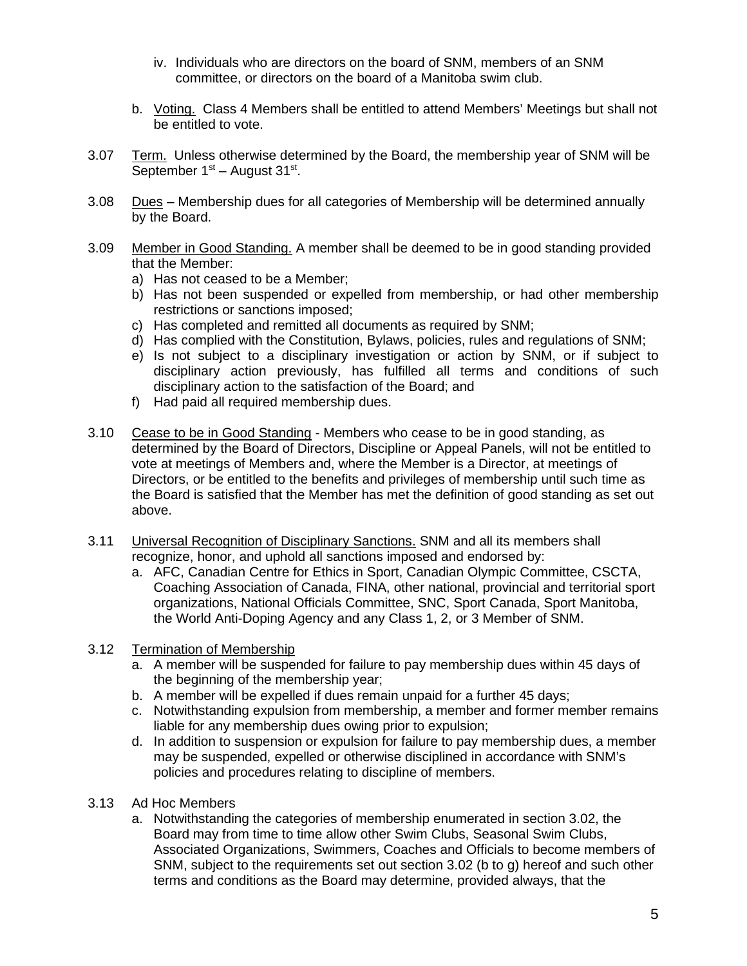- iv. Individuals who are directors on the board of SNM, members of an SNM committee, or directors on the board of a Manitoba swim club.
- b. Voting. Class 4 Members shall be entitled to attend Members' Meetings but shall not be entitled to vote.
- 3.07 Term. Unless otherwise determined by the Board, the membership year of SNM will be September  $1<sup>st</sup>$  – August  $31<sup>st</sup>$ .
- 3.08 Dues Membership dues for all categories of Membership will be determined annually by the Board.
- 3.09 Member in Good Standing. A member shall be deemed to be in good standing provided that the Member:
	- a) Has not ceased to be a Member;
	- b) Has not been suspended or expelled from membership, or had other membership restrictions or sanctions imposed;
	- c) Has completed and remitted all documents as required by SNM;
	- d) Has complied with the Constitution, Bylaws, policies, rules and regulations of SNM;
	- e) Is not subject to a disciplinary investigation or action by SNM, or if subject to disciplinary action previously, has fulfilled all terms and conditions of such disciplinary action to the satisfaction of the Board; and
	- f) Had paid all required membership dues.
- 3.10 Cease to be in Good Standing Members who cease to be in good standing, as determined by the Board of Directors, Discipline or Appeal Panels, will not be entitled to vote at meetings of Members and, where the Member is a Director, at meetings of Directors, or be entitled to the benefits and privileges of membership until such time as the Board is satisfied that the Member has met the definition of good standing as set out above.
- 3.11 Universal Recognition of Disciplinary Sanctions. SNM and all its members shall recognize, honor, and uphold all sanctions imposed and endorsed by:
	- a. AFC, Canadian Centre for Ethics in Sport, Canadian Olympic Committee, CSCTA, Coaching Association of Canada, FINA, other national, provincial and territorial sport organizations, National Officials Committee, SNC, Sport Canada, Sport Manitoba, the World Anti-Doping Agency and any Class 1, 2, or 3 Member of SNM.

## 3.12 Termination of Membership

- a. A member will be suspended for failure to pay membership dues within 45 days of the beginning of the membership year;
- b. A member will be expelled if dues remain unpaid for a further 45 days;
- c. Notwithstanding expulsion from membership, a member and former member remains liable for any membership dues owing prior to expulsion;
- d. In addition to suspension or expulsion for failure to pay membership dues, a member may be suspended, expelled or otherwise disciplined in accordance with SNM's policies and procedures relating to discipline of members.
- 3.13 Ad Hoc Members
	- a. Notwithstanding the categories of membership enumerated in section 3.02, the Board may from time to time allow other Swim Clubs, Seasonal Swim Clubs, Associated Organizations, Swimmers, Coaches and Officials to become members of SNM, subject to the requirements set out section 3.02 (b to g) hereof and such other terms and conditions as the Board may determine, provided always, that the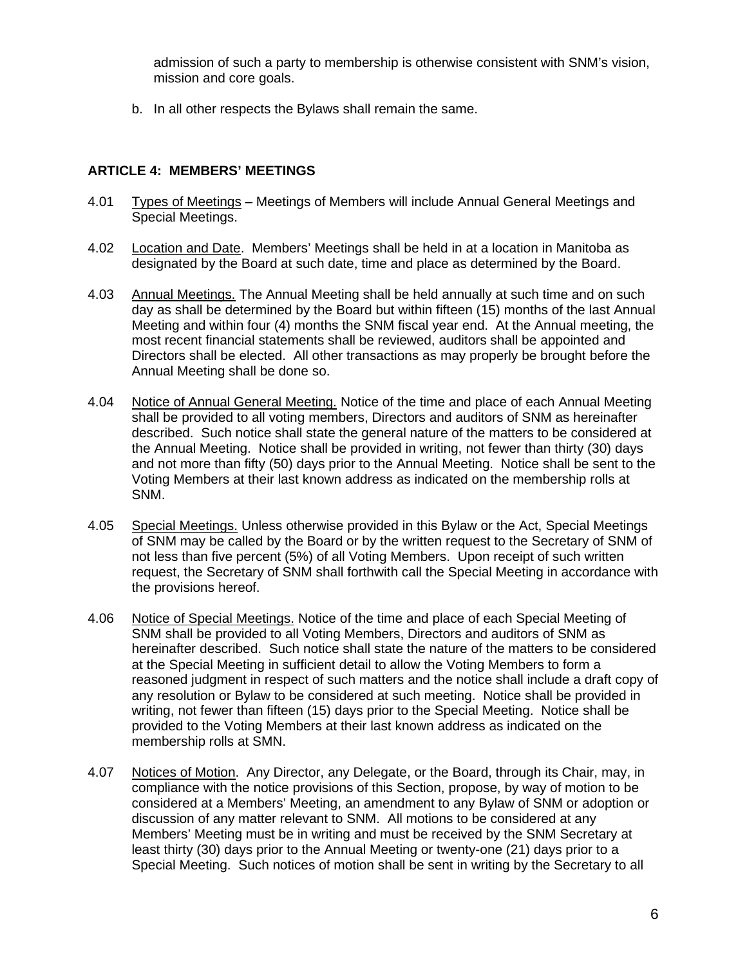admission of such a party to membership is otherwise consistent with SNM's vision, mission and core goals.

b. In all other respects the Bylaws shall remain the same.

# **ARTICLE 4: MEMBERS' MEETINGS**

- 4.01 Types of Meetings Meetings of Members will include Annual General Meetings and Special Meetings.
- 4.02 Location and Date. Members' Meetings shall be held in at a location in Manitoba as designated by the Board at such date, time and place as determined by the Board.
- 4.03 Annual Meetings. The Annual Meeting shall be held annually at such time and on such day as shall be determined by the Board but within fifteen (15) months of the last Annual Meeting and within four (4) months the SNM fiscal year end. At the Annual meeting, the most recent financial statements shall be reviewed, auditors shall be appointed and Directors shall be elected. All other transactions as may properly be brought before the Annual Meeting shall be done so.
- 4.04 Notice of Annual General Meeting. Notice of the time and place of each Annual Meeting shall be provided to all voting members, Directors and auditors of SNM as hereinafter described. Such notice shall state the general nature of the matters to be considered at the Annual Meeting. Notice shall be provided in writing, not fewer than thirty (30) days and not more than fifty (50) days prior to the Annual Meeting. Notice shall be sent to the Voting Members at their last known address as indicated on the membership rolls at SNM.
- 4.05 Special Meetings. Unless otherwise provided in this Bylaw or the Act, Special Meetings of SNM may be called by the Board or by the written request to the Secretary of SNM of not less than five percent (5%) of all Voting Members. Upon receipt of such written request, the Secretary of SNM shall forthwith call the Special Meeting in accordance with the provisions hereof.
- 4.06 Notice of Special Meetings. Notice of the time and place of each Special Meeting of SNM shall be provided to all Voting Members, Directors and auditors of SNM as hereinafter described. Such notice shall state the nature of the matters to be considered at the Special Meeting in sufficient detail to allow the Voting Members to form a reasoned judgment in respect of such matters and the notice shall include a draft copy of any resolution or Bylaw to be considered at such meeting. Notice shall be provided in writing, not fewer than fifteen (15) days prior to the Special Meeting. Notice shall be provided to the Voting Members at their last known address as indicated on the membership rolls at SMN.
- 4.07 Notices of Motion. Any Director, any Delegate, or the Board, through its Chair, may, in compliance with the notice provisions of this Section, propose, by way of motion to be considered at a Members' Meeting, an amendment to any Bylaw of SNM or adoption or discussion of any matter relevant to SNM. All motions to be considered at any Members' Meeting must be in writing and must be received by the SNM Secretary at least thirty (30) days prior to the Annual Meeting or twenty-one (21) days prior to a Special Meeting. Such notices of motion shall be sent in writing by the Secretary to all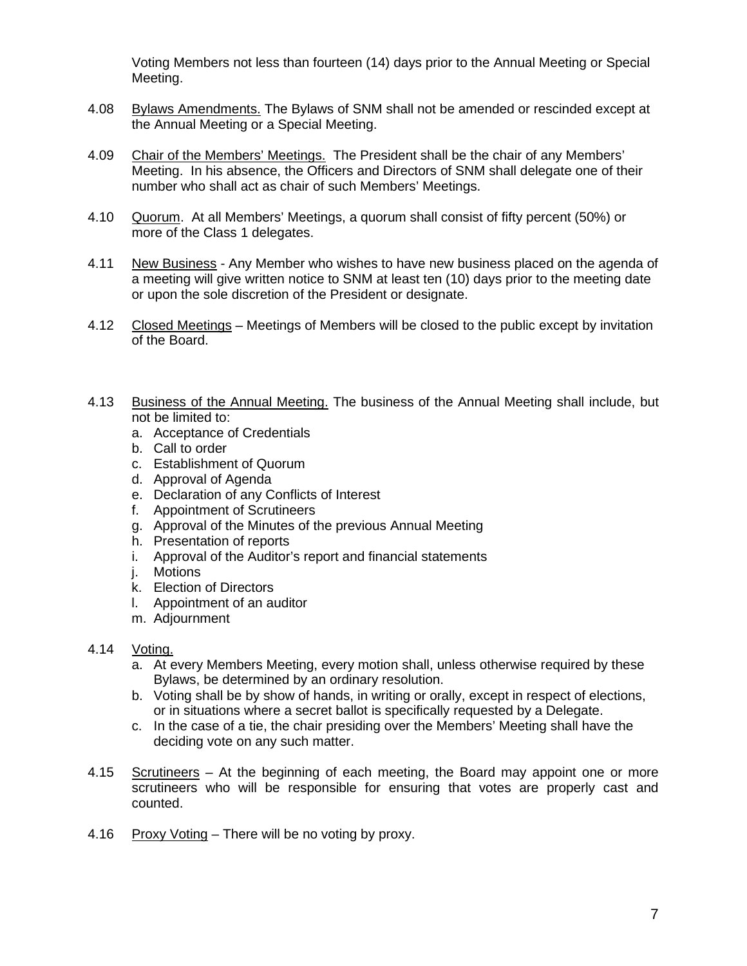Voting Members not less than fourteen (14) days prior to the Annual Meeting or Special Meeting.

- 4.08 Bylaws Amendments. The Bylaws of SNM shall not be amended or rescinded except at the Annual Meeting or a Special Meeting.
- 4.09 Chair of the Members' Meetings. The President shall be the chair of any Members' Meeting. In his absence, the Officers and Directors of SNM shall delegate one of their number who shall act as chair of such Members' Meetings.
- 4.10 Quorum. At all Members' Meetings, a quorum shall consist of fifty percent (50%) or more of the Class 1 delegates.
- 4.11 New Business Any Member who wishes to have new business placed on the agenda of a meeting will give written notice to SNM at least ten (10) days prior to the meeting date or upon the sole discretion of the President or designate.
- 4.12 Closed Meetings Meetings of Members will be closed to the public except by invitation of the Board.
- 4.13 Business of the Annual Meeting. The business of the Annual Meeting shall include, but not be limited to:
	- a. Acceptance of Credentials
	- b. Call to order
	- c. Establishment of Quorum
	- d. Approval of Agenda
	- e. Declaration of any Conflicts of Interest
	- f. Appointment of Scrutineers
	- g. Approval of the Minutes of the previous Annual Meeting
	- h. Presentation of reports
	- i. Approval of the Auditor's report and financial statements
	- j. Motions
	- k. Election of Directors
	- l. Appointment of an auditor
	- m. Adjournment

#### 4.14 Voting.

- a. At every Members Meeting, every motion shall, unless otherwise required by these Bylaws, be determined by an ordinary resolution.
- b. Voting shall be by show of hands, in writing or orally, except in respect of elections, or in situations where a secret ballot is specifically requested by a Delegate.
- c. In the case of a tie, the chair presiding over the Members' Meeting shall have the deciding vote on any such matter.
- 4.15 Scrutineers At the beginning of each meeting, the Board may appoint one or more scrutineers who will be responsible for ensuring that votes are properly cast and counted.
- 4.16 Proxy Voting There will be no voting by proxy.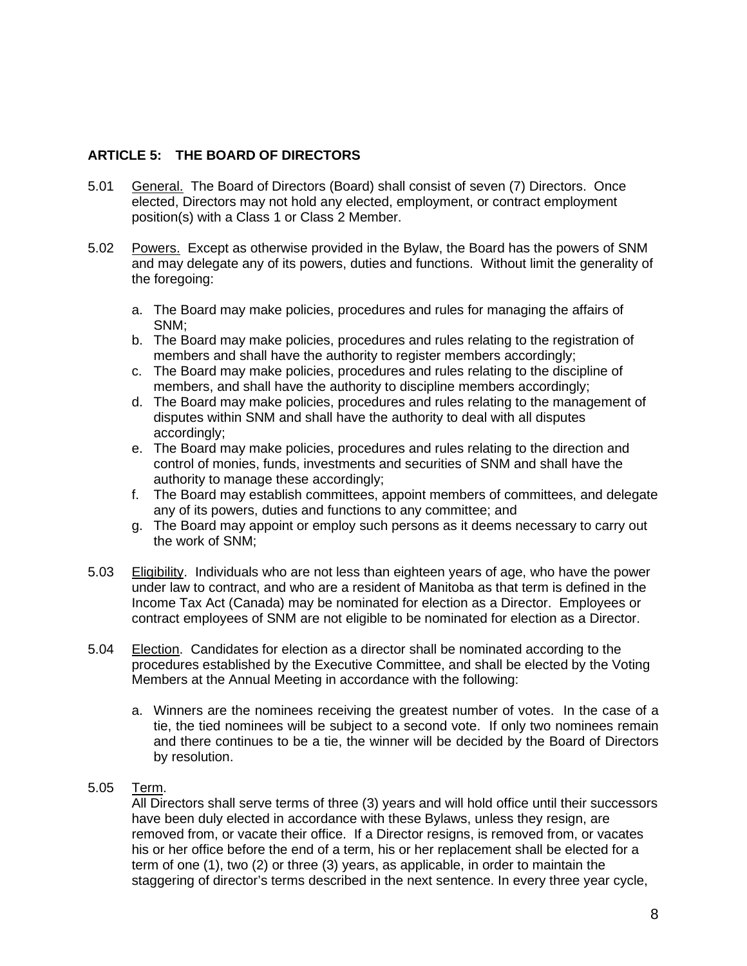# **ARTICLE 5: THE BOARD OF DIRECTORS**

- 5.01 General. The Board of Directors (Board) shall consist of seven (7) Directors. Once elected, Directors may not hold any elected, employment, or contract employment position(s) with a Class 1 or Class 2 Member.
- 5.02 Powers. Except as otherwise provided in the Bylaw, the Board has the powers of SNM and may delegate any of its powers, duties and functions. Without limit the generality of the foregoing:
	- a. The Board may make policies, procedures and rules for managing the affairs of SNM;
	- b. The Board may make policies, procedures and rules relating to the registration of members and shall have the authority to register members accordingly;
	- c. The Board may make policies, procedures and rules relating to the discipline of members, and shall have the authority to discipline members accordingly;
	- d. The Board may make policies, procedures and rules relating to the management of disputes within SNM and shall have the authority to deal with all disputes accordingly;
	- e. The Board may make policies, procedures and rules relating to the direction and control of monies, funds, investments and securities of SNM and shall have the authority to manage these accordingly;
	- f. The Board may establish committees, appoint members of committees, and delegate any of its powers, duties and functions to any committee; and
	- g. The Board may appoint or employ such persons as it deems necessary to carry out the work of SNM;
- 5.03 Eligibility. Individuals who are not less than eighteen years of age, who have the power under law to contract, and who are a resident of Manitoba as that term is defined in the Income Tax Act (Canada) may be nominated for election as a Director. Employees or contract employees of SNM are not eligible to be nominated for election as a Director.
- 5.04 Election. Candidates for election as a director shall be nominated according to the procedures established by the Executive Committee, and shall be elected by the Voting Members at the Annual Meeting in accordance with the following:
	- a. Winners are the nominees receiving the greatest number of votes. In the case of a tie, the tied nominees will be subject to a second vote. If only two nominees remain and there continues to be a tie, the winner will be decided by the Board of Directors by resolution.

## 5.05 Term.

All Directors shall serve terms of three (3) years and will hold office until their successors have been duly elected in accordance with these Bylaws, unless they resign, are removed from, or vacate their office. If a Director resigns, is removed from, or vacates his or her office before the end of a term, his or her replacement shall be elected for a term of one (1), two (2) or three (3) years, as applicable, in order to maintain the staggering of director's terms described in the next sentence. In every three year cycle,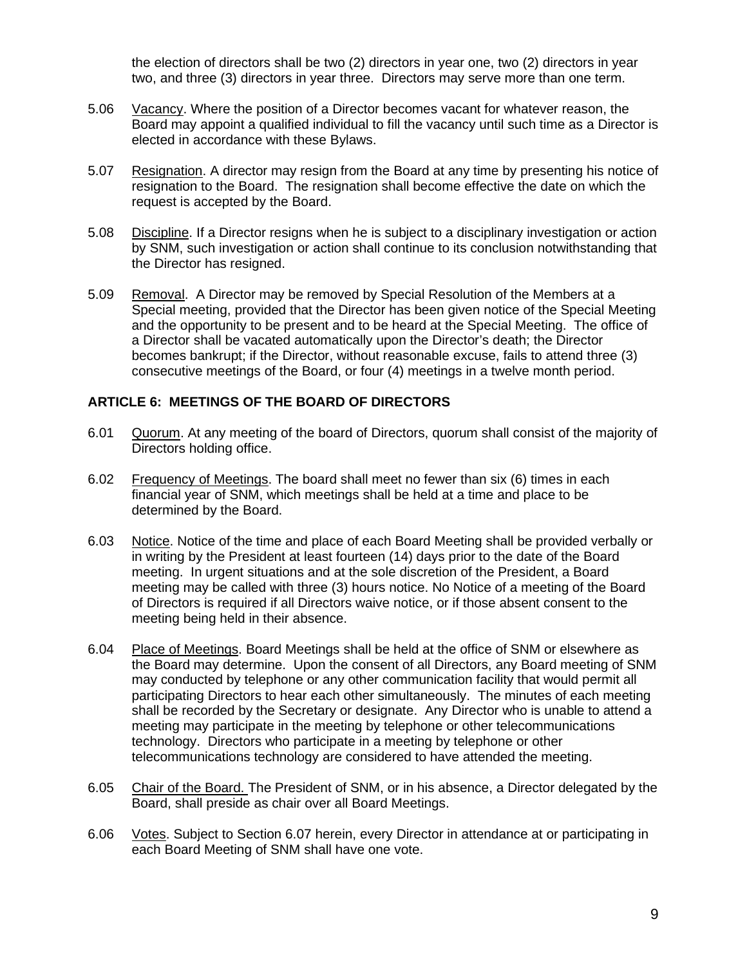the election of directors shall be two (2) directors in year one, two (2) directors in year two, and three (3) directors in year three. Directors may serve more than one term.

- 5.06 Vacancy. Where the position of a Director becomes vacant for whatever reason, the Board may appoint a qualified individual to fill the vacancy until such time as a Director is elected in accordance with these Bylaws.
- 5.07 Resignation. A director may resign from the Board at any time by presenting his notice of resignation to the Board. The resignation shall become effective the date on which the request is accepted by the Board.
- 5.08 Discipline. If a Director resigns when he is subject to a disciplinary investigation or action by SNM, such investigation or action shall continue to its conclusion notwithstanding that the Director has resigned.
- 5.09 Removal. A Director may be removed by Special Resolution of the Members at a Special meeting, provided that the Director has been given notice of the Special Meeting and the opportunity to be present and to be heard at the Special Meeting. The office of a Director shall be vacated automatically upon the Director's death; the Director becomes bankrupt; if the Director, without reasonable excuse, fails to attend three (3) consecutive meetings of the Board, or four (4) meetings in a twelve month period.

## **ARTICLE 6: MEETINGS OF THE BOARD OF DIRECTORS**

- 6.01 Quorum. At any meeting of the board of Directors, quorum shall consist of the majority of Directors holding office.
- 6.02 Frequency of Meetings. The board shall meet no fewer than six (6) times in each financial year of SNM, which meetings shall be held at a time and place to be determined by the Board.
- 6.03 Notice. Notice of the time and place of each Board Meeting shall be provided verbally or in writing by the President at least fourteen (14) days prior to the date of the Board meeting. In urgent situations and at the sole discretion of the President, a Board meeting may be called with three (3) hours notice. No Notice of a meeting of the Board of Directors is required if all Directors waive notice, or if those absent consent to the meeting being held in their absence.
- 6.04 Place of Meetings. Board Meetings shall be held at the office of SNM or elsewhere as the Board may determine. Upon the consent of all Directors, any Board meeting of SNM may conducted by telephone or any other communication facility that would permit all participating Directors to hear each other simultaneously. The minutes of each meeting shall be recorded by the Secretary or designate. Any Director who is unable to attend a meeting may participate in the meeting by telephone or other telecommunications technology. Directors who participate in a meeting by telephone or other telecommunications technology are considered to have attended the meeting.
- 6.05 Chair of the Board. The President of SNM, or in his absence, a Director delegated by the Board, shall preside as chair over all Board Meetings.
- 6.06 Votes. Subject to Section 6.07 herein, every Director in attendance at or participating in each Board Meeting of SNM shall have one vote.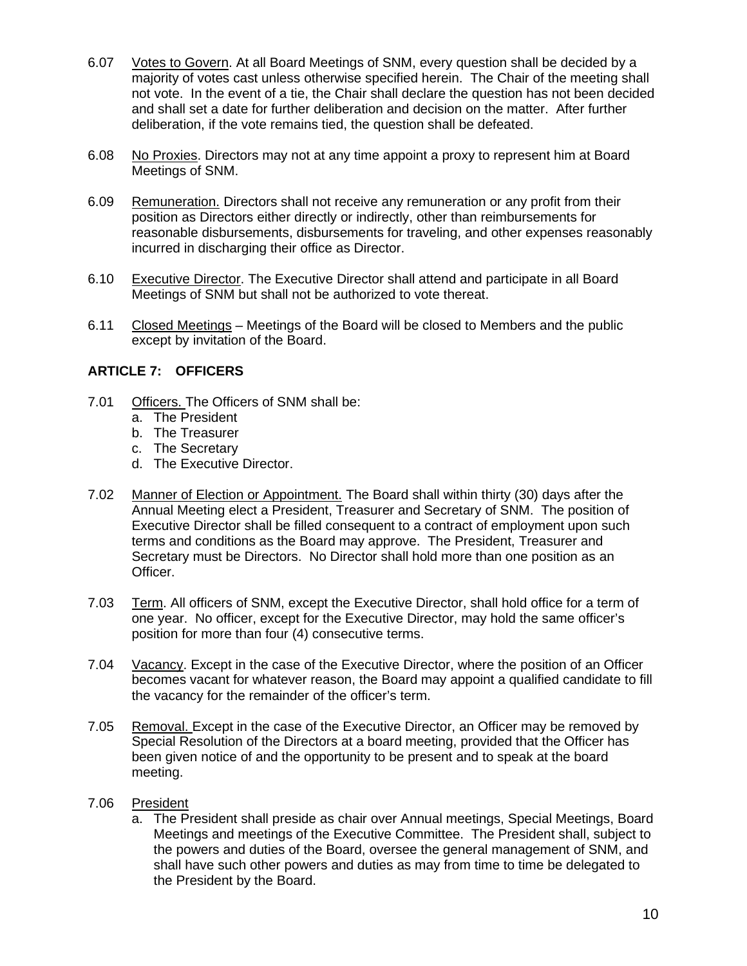- 6.07 Votes to Govern. At all Board Meetings of SNM, every question shall be decided by a majority of votes cast unless otherwise specified herein. The Chair of the meeting shall not vote. In the event of a tie, the Chair shall declare the question has not been decided and shall set a date for further deliberation and decision on the matter. After further deliberation, if the vote remains tied, the question shall be defeated.
- 6.08 No Proxies. Directors may not at any time appoint a proxy to represent him at Board Meetings of SNM.
- 6.09 Remuneration. Directors shall not receive any remuneration or any profit from their position as Directors either directly or indirectly, other than reimbursements for reasonable disbursements, disbursements for traveling, and other expenses reasonably incurred in discharging their office as Director.
- 6.10 Executive Director. The Executive Director shall attend and participate in all Board Meetings of SNM but shall not be authorized to vote thereat.
- 6.11 Closed Meetings Meetings of the Board will be closed to Members and the public except by invitation of the Board.

## **ARTICLE 7: OFFICERS**

- 7.01 Officers. The Officers of SNM shall be:
	- a. The President
	- b. The Treasurer
	- c. The Secretary
	- d. The Executive Director.
- 7.02 Manner of Election or Appointment. The Board shall within thirty (30) days after the Annual Meeting elect a President, Treasurer and Secretary of SNM. The position of Executive Director shall be filled consequent to a contract of employment upon such terms and conditions as the Board may approve. The President, Treasurer and Secretary must be Directors. No Director shall hold more than one position as an Officer.
- 7.03 Term. All officers of SNM, except the Executive Director, shall hold office for a term of one year. No officer, except for the Executive Director, may hold the same officer's position for more than four (4) consecutive terms.
- 7.04 Vacancy. Except in the case of the Executive Director, where the position of an Officer becomes vacant for whatever reason, the Board may appoint a qualified candidate to fill the vacancy for the remainder of the officer's term.
- 7.05 Removal. Except in the case of the Executive Director, an Officer may be removed by Special Resolution of the Directors at a board meeting, provided that the Officer has been given notice of and the opportunity to be present and to speak at the board meeting.
- 7.06 President
	- a. The President shall preside as chair over Annual meetings, Special Meetings, Board Meetings and meetings of the Executive Committee. The President shall, subject to the powers and duties of the Board, oversee the general management of SNM, and shall have such other powers and duties as may from time to time be delegated to the President by the Board.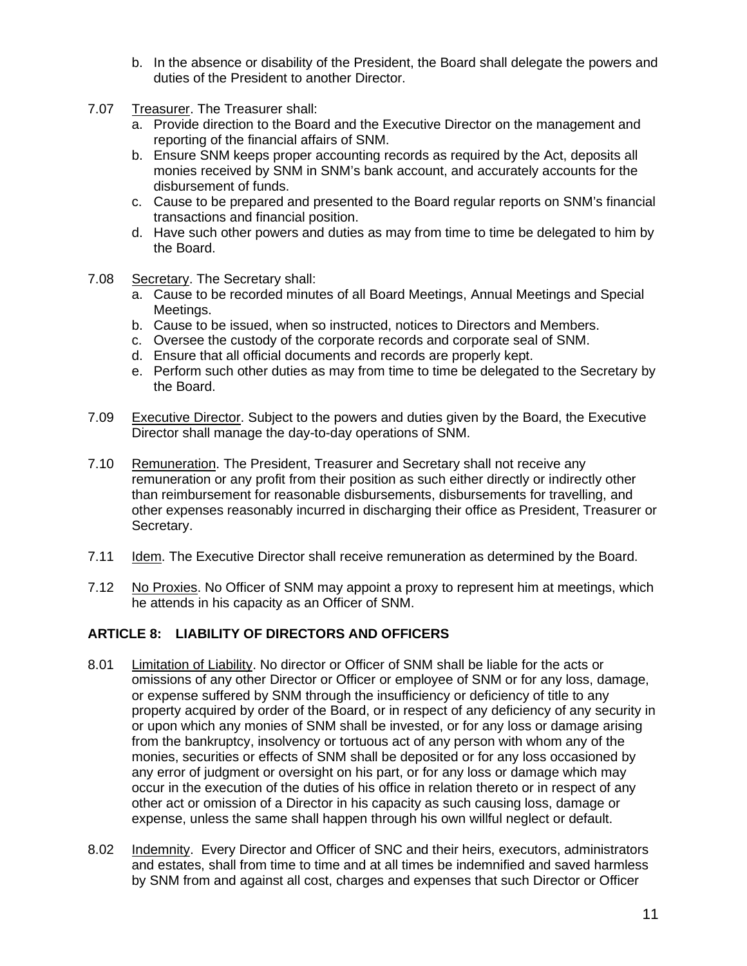- b. In the absence or disability of the President, the Board shall delegate the powers and duties of the President to another Director.
- 7.07 Treasurer. The Treasurer shall:
	- a. Provide direction to the Board and the Executive Director on the management and reporting of the financial affairs of SNM.
	- b. Ensure SNM keeps proper accounting records as required by the Act, deposits all monies received by SNM in SNM's bank account, and accurately accounts for the disbursement of funds.
	- c. Cause to be prepared and presented to the Board regular reports on SNM's financial transactions and financial position.
	- d. Have such other powers and duties as may from time to time be delegated to him by the Board.
- 7.08 Secretary. The Secretary shall:
	- a. Cause to be recorded minutes of all Board Meetings, Annual Meetings and Special Meetings.
	- b. Cause to be issued, when so instructed, notices to Directors and Members.
	- c. Oversee the custody of the corporate records and corporate seal of SNM.
	- d. Ensure that all official documents and records are properly kept.
	- e. Perform such other duties as may from time to time be delegated to the Secretary by the Board.
- 7.09 Executive Director. Subject to the powers and duties given by the Board, the Executive Director shall manage the day-to-day operations of SNM.
- 7.10 Remuneration. The President, Treasurer and Secretary shall not receive any remuneration or any profit from their position as such either directly or indirectly other than reimbursement for reasonable disbursements, disbursements for travelling, and other expenses reasonably incurred in discharging their office as President, Treasurer or Secretary.
- 7.11 Idem. The Executive Director shall receive remuneration as determined by the Board.
- 7.12 No Proxies. No Officer of SNM may appoint a proxy to represent him at meetings, which he attends in his capacity as an Officer of SNM.

## **ARTICLE 8: LIABILITY OF DIRECTORS AND OFFICERS**

- 8.01 Limitation of Liability. No director or Officer of SNM shall be liable for the acts or omissions of any other Director or Officer or employee of SNM or for any loss, damage, or expense suffered by SNM through the insufficiency or deficiency of title to any property acquired by order of the Board, or in respect of any deficiency of any security in or upon which any monies of SNM shall be invested, or for any loss or damage arising from the bankruptcy, insolvency or tortuous act of any person with whom any of the monies, securities or effects of SNM shall be deposited or for any loss occasioned by any error of judgment or oversight on his part, or for any loss or damage which may occur in the execution of the duties of his office in relation thereto or in respect of any other act or omission of a Director in his capacity as such causing loss, damage or expense, unless the same shall happen through his own willful neglect or default.
- 8.02 Indemnity. Every Director and Officer of SNC and their heirs, executors, administrators and estates, shall from time to time and at all times be indemnified and saved harmless by SNM from and against all cost, charges and expenses that such Director or Officer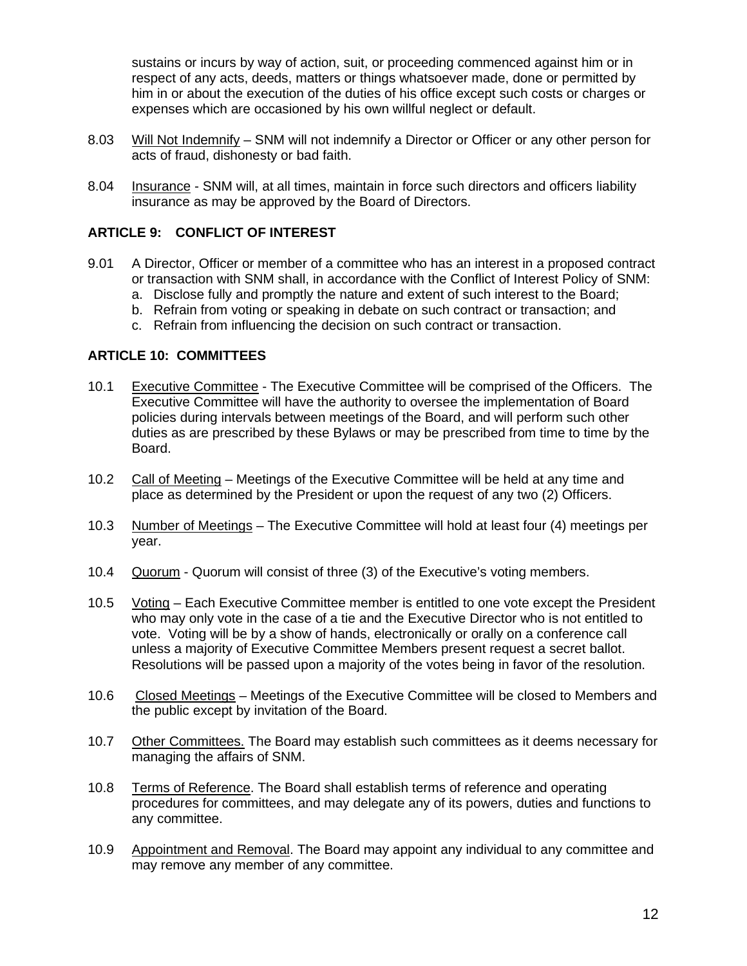sustains or incurs by way of action, suit, or proceeding commenced against him or in respect of any acts, deeds, matters or things whatsoever made, done or permitted by him in or about the execution of the duties of his office except such costs or charges or expenses which are occasioned by his own willful neglect or default.

- 8.03 Will Not Indemnify SNM will not indemnify a Director or Officer or any other person for acts of fraud, dishonesty or bad faith.
- 8.04 Insurance SNM will, at all times, maintain in force such directors and officers liability insurance as may be approved by the Board of Directors.

## **ARTICLE 9: CONFLICT OF INTEREST**

- 9.01 A Director, Officer or member of a committee who has an interest in a proposed contract or transaction with SNM shall, in accordance with the Conflict of Interest Policy of SNM:
	- a. Disclose fully and promptly the nature and extent of such interest to the Board;
	- b. Refrain from voting or speaking in debate on such contract or transaction; and
	- c. Refrain from influencing the decision on such contract or transaction.

#### **ARTICLE 10: COMMITTEES**

- 10.1 Executive Committee The Executive Committee will be comprised of the Officers. The Executive Committee will have the authority to oversee the implementation of Board policies during intervals between meetings of the Board, and will perform such other duties as are prescribed by these Bylaws or may be prescribed from time to time by the Board.
- 10.2 Call of Meeting Meetings of the Executive Committee will be held at any time and place as determined by the President or upon the request of any two (2) Officers.
- 10.3 Number of Meetings The Executive Committee will hold at least four (4) meetings per year.
- 10.4 Quorum Quorum will consist of three (3) of the Executive's voting members.
- 10.5 Voting Each Executive Committee member is entitled to one vote except the President who may only vote in the case of a tie and the Executive Director who is not entitled to vote. Voting will be by a show of hands, electronically or orally on a conference call unless a majority of Executive Committee Members present request a secret ballot. Resolutions will be passed upon a majority of the votes being in favor of the resolution.
- 10.6 Closed Meetings Meetings of the Executive Committee will be closed to Members and the public except by invitation of the Board.
- 10.7 Other Committees. The Board may establish such committees as it deems necessary for managing the affairs of SNM.
- 10.8 Terms of Reference. The Board shall establish terms of reference and operating procedures for committees, and may delegate any of its powers, duties and functions to any committee.
- 10.9 Appointment and Removal. The Board may appoint any individual to any committee and may remove any member of any committee.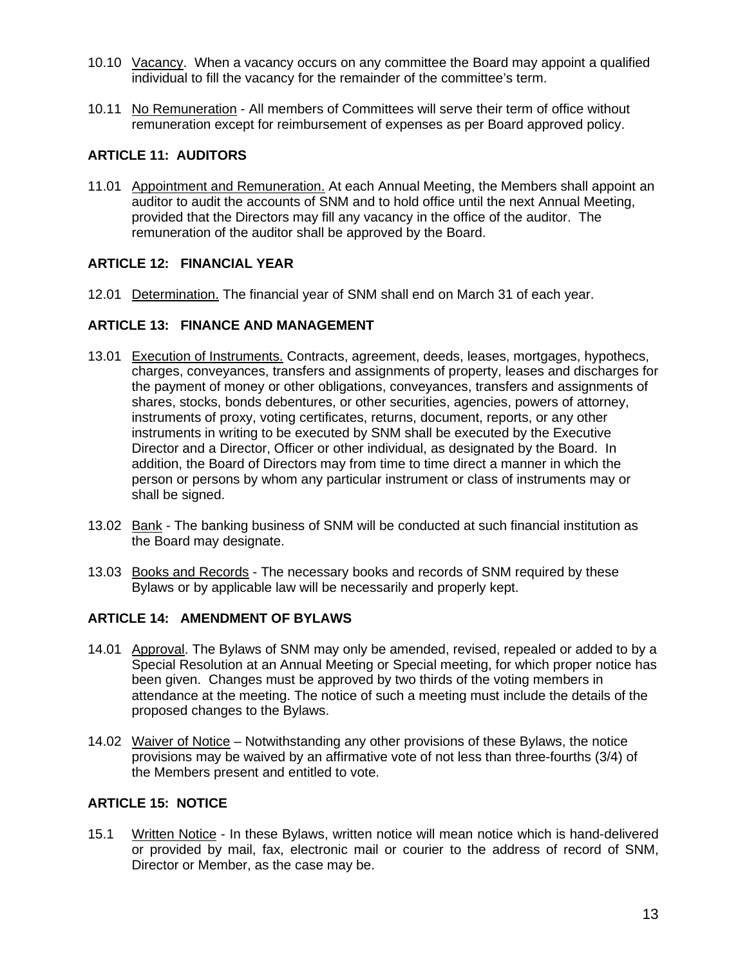- 10.10 Vacancy. When a vacancy occurs on any committee the Board may appoint a qualified individual to fill the vacancy for the remainder of the committee's term.
- 10.11 No Remuneration All members of Committees will serve their term of office without remuneration except for reimbursement of expenses as per Board approved policy.

# **ARTICLE 11: AUDITORS**

11.01 Appointment and Remuneration. At each Annual Meeting, the Members shall appoint an auditor to audit the accounts of SNM and to hold office until the next Annual Meeting, provided that the Directors may fill any vacancy in the office of the auditor. The remuneration of the auditor shall be approved by the Board.

## **ARTICLE 12: FINANCIAL YEAR**

12.01 Determination. The financial year of SNM shall end on March 31 of each year.

## **ARTICLE 13: FINANCE AND MANAGEMENT**

- 13.01 Execution of Instruments. Contracts, agreement, deeds, leases, mortgages, hypothecs, charges, conveyances, transfers and assignments of property, leases and discharges for the payment of money or other obligations, conveyances, transfers and assignments of shares, stocks, bonds debentures, or other securities, agencies, powers of attorney, instruments of proxy, voting certificates, returns, document, reports, or any other instruments in writing to be executed by SNM shall be executed by the Executive Director and a Director, Officer or other individual, as designated by the Board. In addition, the Board of Directors may from time to time direct a manner in which the person or persons by whom any particular instrument or class of instruments may or shall be signed.
- 13.02 Bank The banking business of SNM will be conducted at such financial institution as the Board may designate.
- 13.03 Books and Records The necessary books and records of SNM required by these Bylaws or by applicable law will be necessarily and properly kept.

## **ARTICLE 14: AMENDMENT OF BYLAWS**

- 14.01 Approval. The Bylaws of SNM may only be amended, revised, repealed or added to by a Special Resolution at an Annual Meeting or Special meeting, for which proper notice has been given. Changes must be approved by two thirds of the voting members in attendance at the meeting. The notice of such a meeting must include the details of the proposed changes to the Bylaws.
- 14.02 Waiver of Notice Notwithstanding any other provisions of these Bylaws, the notice provisions may be waived by an affirmative vote of not less than three-fourths (3/4) of the Members present and entitled to vote.

## **ARTICLE 15: NOTICE**

15.1 Written Notice - In these Bylaws, written notice will mean notice which is hand-delivered or provided by mail, fax, electronic mail or courier to the address of record of SNM, Director or Member, as the case may be.